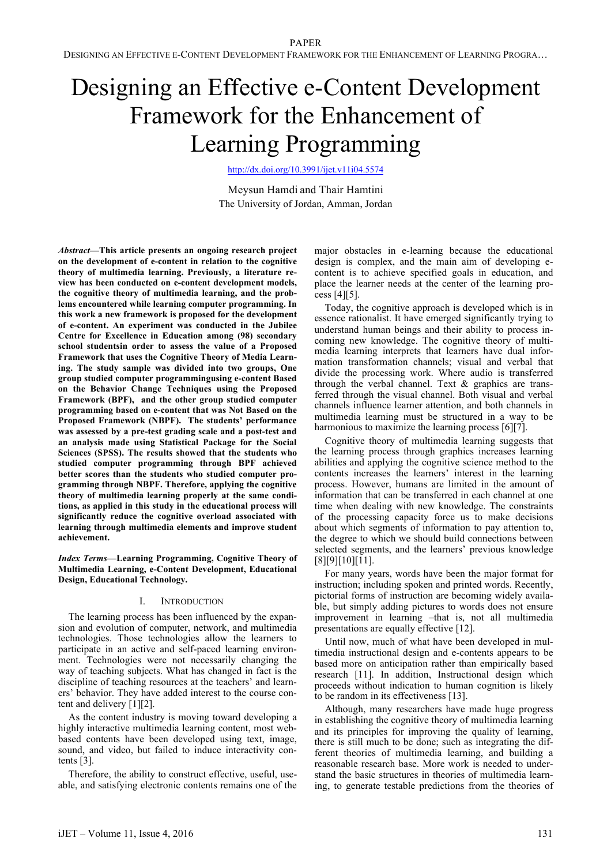# Designing an Effective e-Content Development Framework for the Enhancement of Learning Programming

http://dx.doi.org/10.3991/ijet.v11i04.5574

Meysun Hamdi and Thair Hamtini The University of Jordan, Amman, Jordan

*Abstract***—This article presents an ongoing research project on the development of e-content in relation to the cognitive theory of multimedia learning. Previously, a literature review has been conducted on e-content development models, the cognitive theory of multimedia learning, and the problems encountered while learning computer programming. In this work a new framework is proposed for the development of e-content. An experiment was conducted in the Jubilee Centre for Excellence in Education among (98) secondary school studentsin order to assess the value of a Proposed Framework that uses the Cognitive Theory of Media Learning. The study sample was divided into two groups, One group studied computer programmingusing e-content Based on the Behavior Change Techniques using the Proposed Framework (BPF), and the other group studied computer programming based on e-content that was Not Based on the Proposed Framework (NBPF). The students' performance was assessed by a pre-test grading scale and a post-test and an analysis made using Statistical Package for the Social Sciences (SPSS). The results showed that the students who studied computer programming through BPF achieved better scores than the students who studied computer programming through NBPF. Therefore, applying the cognitive theory of multimedia learning properly at the same conditions, as applied in this study in the educational process will significantly reduce the cognitive overload associated with learning through multimedia elements and improve student achievement.**

*Index Terms***—Learning Programming, Cognitive Theory of Multimedia Learning, e-Content Development, Educational Design, Educational Technology.** 

#### I. INTRODUCTION

The learning process has been influenced by the expansion and evolution of computer, network, and multimedia technologies. Those technologies allow the learners to participate in an active and self-paced learning environment. Technologies were not necessarily changing the way of teaching subjects. What has changed in fact is the discipline of teaching resources at the teachers' and learners' behavior. They have added interest to the course content and delivery [1][2].

As the content industry is moving toward developing a highly interactive multimedia learning content, most webbased contents have been developed using text, image, sound, and video, but failed to induce interactivity contents [3].

Therefore, the ability to construct effective, useful, useable, and satisfying electronic contents remains one of the major obstacles in e-learning because the educational design is complex, and the main aim of developing econtent is to achieve specified goals in education, and place the learner needs at the center of the learning process  $[4][5]$ .

Today, the cognitive approach is developed which is in essence rationalist. It have emerged significantly trying to understand human beings and their ability to process incoming new knowledge. The cognitive theory of multimedia learning interprets that learners have dual information transformation channels; visual and verbal that divide the processing work. Where audio is transferred through the verbal channel. Text & graphics are transferred through the visual channel. Both visual and verbal channels influence learner attention, and both channels in multimedia learning must be structured in a way to be harmonious to maximize the learning process [6][7].

Cognitive theory of multimedia learning suggests that the learning process through graphics increases learning abilities and applying the cognitive science method to the contents increases the learners' interest in the learning process. However, humans are limited in the amount of information that can be transferred in each channel at one time when dealing with new knowledge. The constraints of the processing capacity force us to make decisions about which segments of information to pay attention to, the degree to which we should build connections between selected segments, and the learners' previous knowledge [8][9][10][11].

For many years, words have been the major format for instruction; including spoken and printed words. Recently, pictorial forms of instruction are becoming widely available, but simply adding pictures to words does not ensure improvement in learning –that is, not all multimedia presentations are equally effective [12].

Until now, much of what have been developed in multimedia instructional design and e-contents appears to be based more on anticipation rather than empirically based research [11]. In addition, Instructional design which proceeds without indication to human cognition is likely to be random in its effectiveness [13].

Although, many researchers have made huge progress in establishing the cognitive theory of multimedia learning and its principles for improving the quality of learning, there is still much to be done; such as integrating the different theories of multimedia learning, and building a reasonable research base. More work is needed to understand the basic structures in theories of multimedia learning, to generate testable predictions from the theories of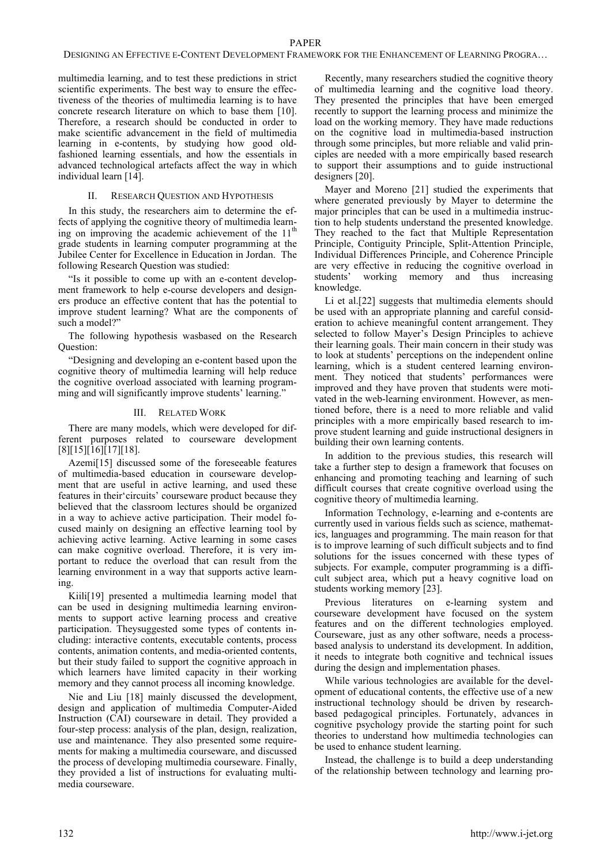multimedia learning, and to test these predictions in strict scientific experiments. The best way to ensure the effectiveness of the theories of multimedia learning is to have concrete research literature on which to base them [10]. Therefore, a research should be conducted in order to make scientific advancement in the field of multimedia learning in e-contents, by studying how good oldfashioned learning essentials, and how the essentials in advanced technological artefacts affect the way in which individual learn [14].

#### II. RESEARCH QUESTION AND HYPOTHESIS

In this study, the researchers aim to determine the effects of applying the cognitive theory of multimedia learning on improving the academic achievement of the 11<sup>th</sup> grade students in learning computer programming at the Jubilee Center for Excellence in Education in Jordan. The following Research Question was studied:

"Is it possible to come up with an e-content development framework to help e-course developers and designers produce an effective content that has the potential to improve student learning? What are the components of such a model?"

The following hypothesis wasbased on the Research Question:

"Designing and developing an e-content based upon the cognitive theory of multimedia learning will help reduce the cognitive overload associated with learning programming and will significantly improve students' learning."

# III. RELATED WORK

There are many models, which were developed for different purposes related to courseware development [8][15][16][17][18].

Azemi[15] discussed some of the foreseeable features of multimedia-based education in courseware development that are useful in active learning, and used these features in their'circuits' courseware product because they believed that the classroom lectures should be organized in a way to achieve active participation. Their model focused mainly on designing an effective learning tool by achieving active learning. Active learning in some cases can make cognitive overload. Therefore, it is very important to reduce the overload that can result from the learning environment in a way that supports active learning.

Kiili[19] presented a multimedia learning model that can be used in designing multimedia learning environments to support active learning process and creative participation. Theysuggested some types of contents including: interactive contents, executable contents, process contents, animation contents, and media-oriented contents, but their study failed to support the cognitive approach in which learners have limited capacity in their working memory and they cannot process all incoming knowledge.

Nie and Liu [18] mainly discussed the development, design and application of multimedia Computer-Aided Instruction (CAI) courseware in detail. They provided a four-step process: analysis of the plan, design, realization, use and maintenance. They also presented some requirements for making a multimedia courseware, and discussed the process of developing multimedia courseware. Finally, they provided a list of instructions for evaluating multimedia courseware.

Recently, many researchers studied the cognitive theory of multimedia learning and the cognitive load theory. They presented the principles that have been emerged recently to support the learning process and minimize the load on the working memory. They have made reductions on the cognitive load in multimedia-based instruction through some principles, but more reliable and valid principles are needed with a more empirically based research to support their assumptions and to guide instructional designers [20].

Mayer and Moreno [21] studied the experiments that where generated previously by Mayer to determine the major principles that can be used in a multimedia instruction to help students understand the presented knowledge. They reached to the fact that Multiple Representation Principle, Contiguity Principle, Split-Attention Principle, Individual Differences Principle, and Coherence Principle are very effective in reducing the cognitive overload in students' working memory and thus increasing knowledge.

Li et al.<sup>[22]</sup> suggests that multimedia elements should be used with an appropriate planning and careful consideration to achieve meaningful content arrangement. They selected to follow Mayer's Design Principles to achieve their learning goals. Their main concern in their study was to look at students' perceptions on the independent online learning, which is a student centered learning environment. They noticed that students' performances were improved and they have proven that students were motivated in the web-learning environment. However, as mentioned before, there is a need to more reliable and valid principles with a more empirically based research to improve student learning and guide instructional designers in building their own learning contents.

In addition to the previous studies, this research will take a further step to design a framework that focuses on enhancing and promoting teaching and learning of such difficult courses that create cognitive overload using the cognitive theory of multimedia learning.

Information Technology, e-learning and e-contents are currently used in various fields such as science, mathematics, languages and programming. The main reason for that is to improve learning of such difficult subjects and to find solutions for the issues concerned with these types of subjects. For example, computer programming is a difficult subject area, which put a heavy cognitive load on students working memory [23].

Previous literatures on e-learning system and courseware development have focused on the system features and on the different technologies employed. Courseware, just as any other software, needs a processbased analysis to understand its development. In addition, it needs to integrate both cognitive and technical issues during the design and implementation phases.

While various technologies are available for the development of educational contents, the effective use of a new instructional technology should be driven by researchbased pedagogical principles. Fortunately, advances in cognitive psychology provide the starting point for such theories to understand how multimedia technologies can be used to enhance student learning.

Instead, the challenge is to build a deep understanding of the relationship between technology and learning pro-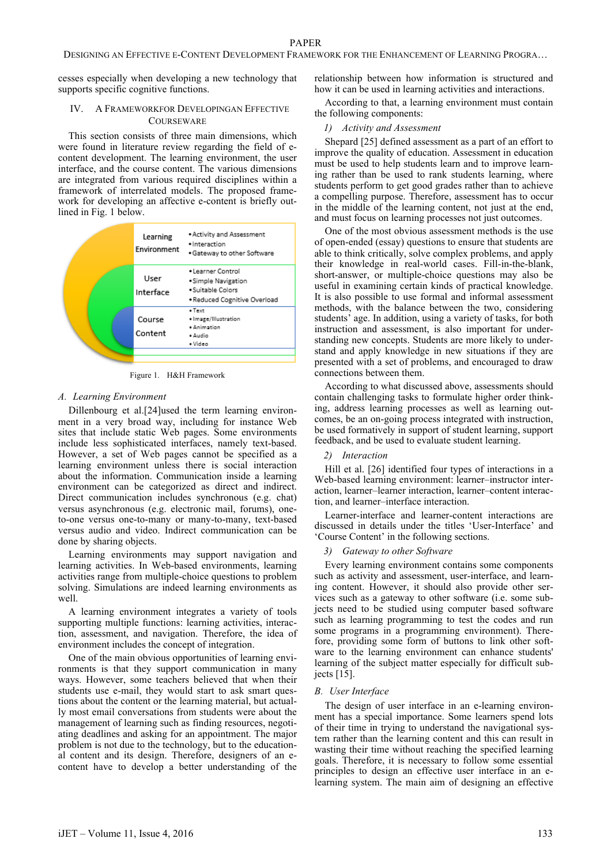cesses especially when developing a new technology that supports specific cognitive functions.

# IV. A FRAMEWORKFOR DEVELOPINGAN EFFECTIVE **COURSEWARE**

This section consists of three main dimensions, which were found in literature review regarding the field of econtent development. The learning environment, the user interface, and the course content. The various dimensions are integrated from various required disciplines within a framework of interrelated models. The proposed framework for developing an affective e-content is briefly outlined in Fig. 1 below.

| Learning<br>Environment | . Activity and Assessment<br>· Interaction<br>. Gateway to other Software                     |  |  |
|-------------------------|-----------------------------------------------------------------------------------------------|--|--|
| User<br>Interface       | · Learner Control<br>• Simple Navigation<br>. Suitable Colors<br>. Reduced Cognitive Overload |  |  |
| Course<br>Content       | • Text<br>· Image/Illustration<br>· Animation<br>· Audio<br>. Video                           |  |  |
|                         |                                                                                               |  |  |

Figure 1. H&H Framework

#### *A. Learning Environment*

Dillenbourg et al.[24]used the term learning environment in a very broad way, including for instance Web sites that include static Web pages. Some environments include less sophisticated interfaces, namely text-based. However, a set of Web pages cannot be specified as a learning environment unless there is social interaction about the information. Communication inside a learning environment can be categorized as direct and indirect. Direct communication includes synchronous (e.g. chat) versus asynchronous (e.g. electronic mail, forums), oneto-one versus one-to-many or many-to-many, text-based versus audio and video. Indirect communication can be done by sharing objects.

Learning environments may support navigation and learning activities. In Web-based environments, learning activities range from multiple-choice questions to problem solving. Simulations are indeed learning environments as well.

A learning environment integrates a variety of tools supporting multiple functions: learning activities, interaction, assessment, and navigation. Therefore, the idea of environment includes the concept of integration.

One of the main obvious opportunities of learning environments is that they support communication in many ways. However, some teachers believed that when their students use e-mail, they would start to ask smart questions about the content or the learning material, but actually most email conversations from students were about the management of learning such as finding resources, negotiating deadlines and asking for an appointment. The major problem is not due to the technology, but to the educational content and its design. Therefore, designers of an econtent have to develop a better understanding of the relationship between how information is structured and how it can be used in learning activities and interactions.

According to that, a learning environment must contain the following components:

#### *1) Activity and Assessment*

Shepard [25] defined assessment as a part of an effort to improve the quality of education. Assessment in education must be used to help students learn and to improve learning rather than be used to rank students learning, where students perform to get good grades rather than to achieve a compelling purpose. Therefore, assessment has to occur in the middle of the learning content, not just at the end, and must focus on learning processes not just outcomes.

One of the most obvious assessment methods is the use of open-ended (essay) questions to ensure that students are able to think critically, solve complex problems, and apply their knowledge in real-world cases. Fill-in-the-blank, short-answer, or multiple-choice questions may also be useful in examining certain kinds of practical knowledge. It is also possible to use formal and informal assessment methods, with the balance between the two, considering students' age. In addition, using a variety of tasks, for both instruction and assessment, is also important for understanding new concepts. Students are more likely to understand and apply knowledge in new situations if they are presented with a set of problems, and encouraged to draw connections between them.

According to what discussed above, assessments should contain challenging tasks to formulate higher order thinking, address learning processes as well as learning outcomes, be an on-going process integrated with instruction, be used formatively in support of student learning, support feedback, and be used to evaluate student learning.

#### *2) Interaction*

Hill et al. [26] identified four types of interactions in a Web-based learning environment: learner–instructor interaction, learner–learner interaction, learner–content interaction, and learner–interface interaction.

Learner-interface and learner-content interactions are discussed in details under the titles 'User-Interface' and 'Course Content' in the following sections.

#### *3) Gateway to other Software*

Every learning environment contains some components such as activity and assessment, user-interface, and learning content. However, it should also provide other services such as a gateway to other software (i.e. some subjects need to be studied using computer based software such as learning programming to test the codes and run some programs in a programming environment). Therefore, providing some form of buttons to link other software to the learning environment can enhance students' learning of the subject matter especially for difficult subjects [15].

#### *B. User Interface*

The design of user interface in an e-learning environment has a special importance. Some learners spend lots of their time in trying to understand the navigational system rather than the learning content and this can result in wasting their time without reaching the specified learning goals. Therefore, it is necessary to follow some essential principles to design an effective user interface in an elearning system. The main aim of designing an effective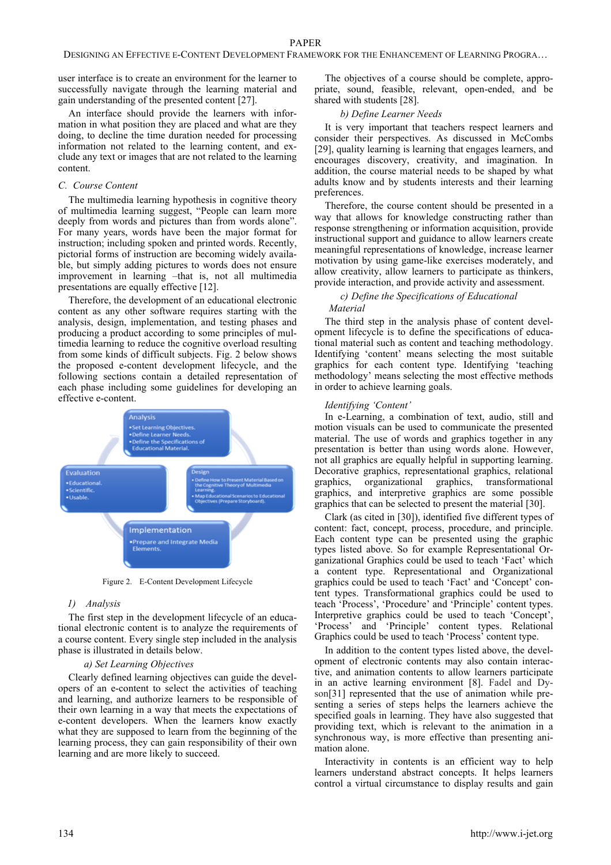user interface is to create an environment for the learner to successfully navigate through the learning material and gain understanding of the presented content [27].

An interface should provide the learners with information in what position they are placed and what are they doing, to decline the time duration needed for processing information not related to the learning content, and exclude any text or images that are not related to the learning content.

### *C. Course Content*

The multimedia learning hypothesis in cognitive theory of multimedia learning suggest, "People can learn more deeply from words and pictures than from words alone". For many years, words have been the major format for instruction; including spoken and printed words. Recently, pictorial forms of instruction are becoming widely available, but simply adding pictures to words does not ensure improvement in learning –that is, not all multimedia presentations are equally effective [12].

Therefore, the development of an educational electronic content as any other software requires starting with the analysis, design, implementation, and testing phases and producing a product according to some principles of multimedia learning to reduce the cognitive overload resulting from some kinds of difficult subjects. Fig. 2 below shows the proposed e-content development lifecycle, and the following sections contain a detailed representation of each phase including some guidelines for developing an effective e-content.



Figure 2. E-Content Development Lifecycle

## *1) Analysis*

The first step in the development lifecycle of an educational electronic content is to analyze the requirements of a course content. Every single step included in the analysis phase is illustrated in details below.

#### *a) Set Learning Objectives*

Clearly defined learning objectives can guide the developers of an e-content to select the activities of teaching and learning, and authorize learners to be responsible of their own learning in a way that meets the expectations of e-content developers. When the learners know exactly what they are supposed to learn from the beginning of the learning process, they can gain responsibility of their own learning and are more likely to succeed.

The objectives of a course should be complete, appropriate, sound, feasible, relevant, open-ended, and be shared with students [28].

#### *b) Define Learner Needs*

It is very important that teachers respect learners and consider their perspectives. As discussed in McCombs [29], quality learning is learning that engages learners, and encourages discovery, creativity, and imagination. In addition, the course material needs to be shaped by what adults know and by students interests and their learning preferences.

Therefore, the course content should be presented in a way that allows for knowledge constructing rather than response strengthening or information acquisition, provide instructional support and guidance to allow learners create meaningful representations of knowledge, increase learner motivation by using game-like exercises moderately, and allow creativity, allow learners to participate as thinkers, provide interaction, and provide activity and assessment.

# *c) Define the Specifications of Educational*

# *Material*

The third step in the analysis phase of content development lifecycle is to define the specifications of educational material such as content and teaching methodology. Identifying 'content' means selecting the most suitable graphics for each content type. Identifying 'teaching methodology' means selecting the most effective methods in order to achieve learning goals.

#### *Identifying 'Content'*

In e-Learning, a combination of text, audio, still and motion visuals can be used to communicate the presented material. The use of words and graphics together in any presentation is better than using words alone. However, not all graphics are equally helpful in supporting learning. Decorative graphics, representational graphics, relational graphics, organizational graphics, transformational graphics, and interpretive graphics are some possible graphics that can be selected to present the material [30].

Clark (as cited in [30]), identified five different types of content: fact, concept, process, procedure, and principle. Each content type can be presented using the graphic types listed above. So for example Representational Organizational Graphics could be used to teach 'Fact' which a content type. Representational and Organizational graphics could be used to teach 'Fact' and 'Concept' content types. Transformational graphics could be used to teach 'Process', 'Procedure' and 'Principle' content types. Interpretive graphics could be used to teach 'Concept', 'Process' and 'Principle' content types. Relational Graphics could be used to teach 'Process' content type.

In addition to the content types listed above, the development of electronic contents may also contain interactive, and animation contents to allow learners participate in an active learning environment [8]. Fadel and Dyson[31] represented that the use of animation while presenting a series of steps helps the learners achieve the specified goals in learning. They have also suggested that providing text, which is relevant to the animation in a synchronous way, is more effective than presenting animation alone.

Interactivity in contents is an efficient way to help learners understand abstract concepts. It helps learners control a virtual circumstance to display results and gain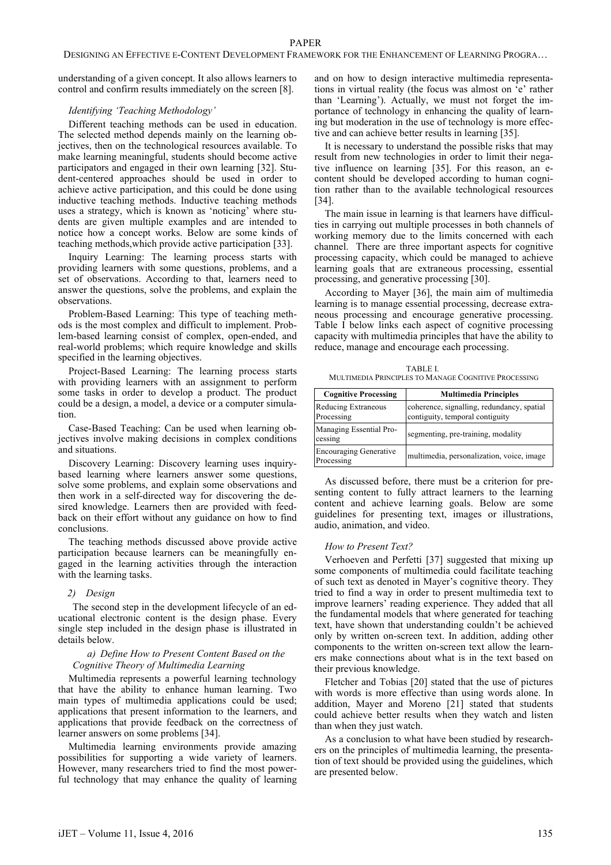understanding of a given concept. It also allows learners to control and confirm results immediately on the screen [8].

#### *Identifying 'Teaching Methodology'*

Different teaching methods can be used in education. The selected method depends mainly on the learning objectives, then on the technological resources available. To make learning meaningful, students should become active participators and engaged in their own learning [32]. Student-centered approaches should be used in order to achieve active participation, and this could be done using inductive teaching methods. Inductive teaching methods uses a strategy, which is known as 'noticing' where students are given multiple examples and are intended to notice how a concept works. Below are some kinds of teaching methods,which provide active participation [33].

Inquiry Learning: The learning process starts with providing learners with some questions, problems, and a set of observations. According to that, learners need to answer the questions, solve the problems, and explain the observations.

Problem-Based Learning: This type of teaching methods is the most complex and difficult to implement. Problem-based learning consist of complex, open-ended, and real-world problems; which require knowledge and skills specified in the learning objectives.

Project-Based Learning: The learning process starts with providing learners with an assignment to perform some tasks in order to develop a product. The product could be a design, a model, a device or a computer simulation.

Case-Based Teaching: Can be used when learning objectives involve making decisions in complex conditions and situations.

Discovery Learning: Discovery learning uses inquirybased learning where learners answer some questions, solve some problems, and explain some observations and then work in a self-directed way for discovering the desired knowledge. Learners then are provided with feedback on their effort without any guidance on how to find conclusions.

The teaching methods discussed above provide active participation because learners can be meaningfully engaged in the learning activities through the interaction with the learning tasks.

#### *2) Design*

The second step in the development lifecycle of an educational electronic content is the design phase. Every single step included in the design phase is illustrated in details below.

#### *a) Define How to Present Content Based on the Cognitive Theory of Multimedia Learning*

Multimedia represents a powerful learning technology that have the ability to enhance human learning. Two main types of multimedia applications could be used; applications that present information to the learners, and applications that provide feedback on the correctness of learner answers on some problems [34].

Multimedia learning environments provide amazing possibilities for supporting a wide variety of learners. However, many researchers tried to find the most powerful technology that may enhance the quality of learning and on how to design interactive multimedia representations in virtual reality (the focus was almost on 'e' rather than 'Learning'). Actually, we must not forget the importance of technology in enhancing the quality of learning but moderation in the use of technology is more effective and can achieve better results in learning [35].

It is necessary to understand the possible risks that may result from new technologies in order to limit their negative influence on learning [35]. For this reason, an econtent should be developed according to human cognition rather than to the available technological resources [34].

The main issue in learning is that learners have difficulties in carrying out multiple processes in both channels of working memory due to the limits concerned with each channel. There are three important aspects for cognitive processing capacity, which could be managed to achieve learning goals that are extraneous processing, essential processing, and generative processing [30].

According to Mayer [36], the main aim of multimedia learning is to manage essential processing, decrease extraneous processing and encourage generative processing. Table I below links each aspect of cognitive processing capacity with multimedia principles that have the ability to reduce, manage and encourage each processing.

TABLE I. MULTIMEDIA PRINCIPLES TO MANAGE COGNITIVE PROCESSING

| <b>Cognitive Processing</b>                 | <b>Multimedia Principles</b>                                                  |
|---------------------------------------------|-------------------------------------------------------------------------------|
| Reducing Extraneous<br>Processing           | coherence, signalling, redundancy, spatial<br>contiguity, temporal contiguity |
| Managing Essential Pro-<br>cessing          | segmenting, pre-training, modality                                            |
| <b>Encouraging Generative</b><br>Processing | multimedia, personalization, voice, image                                     |

As discussed before, there must be a criterion for presenting content to fully attract learners to the learning content and achieve learning goals. Below are some guidelines for presenting text, images or illustrations, audio, animation, and video.

#### *How to Present Text?*

Verhoeven and Perfetti [37] suggested that mixing up some components of multimedia could facilitate teaching of such text as denoted in Mayer's cognitive theory. They tried to find a way in order to present multimedia text to improve learners' reading experience. They added that all the fundamental models that where generated for teaching text, have shown that understanding couldn't be achieved only by written on-screen text. In addition, adding other components to the written on-screen text allow the learners make connections about what is in the text based on their previous knowledge.

Fletcher and Tobias [20] stated that the use of pictures with words is more effective than using words alone. In addition, Mayer and Moreno [21] stated that students could achieve better results when they watch and listen than when they just watch.

As a conclusion to what have been studied by researchers on the principles of multimedia learning, the presentation of text should be provided using the guidelines, which are presented below.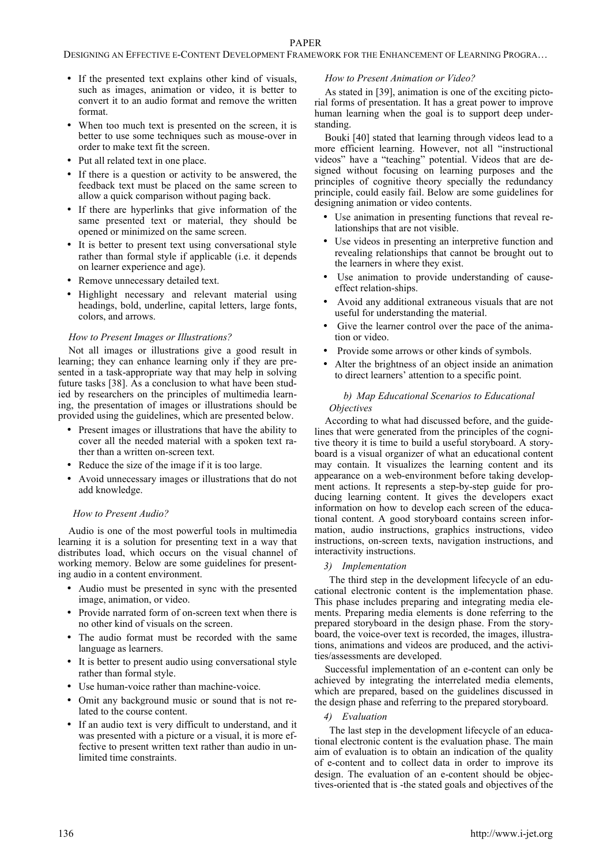DESIGNING AN EFFECTIVE E-CONTENT DEVELOPMENT FRAMEWORK FOR THE ENHANCEMENT OF LEARNING PROGRA…

- If the presented text explains other kind of visuals, such as images, animation or video, it is better to convert it to an audio format and remove the written format.
- When too much text is presented on the screen, it is better to use some techniques such as mouse-over in order to make text fit the screen.
- Put all related text in one place.
- If there is a question or activity to be answered, the feedback text must be placed on the same screen to allow a quick comparison without paging back.
- If there are hyperlinks that give information of the same presented text or material, they should be opened or minimized on the same screen.
- It is better to present text using conversational style rather than formal style if applicable (i.e. it depends on learner experience and age).
- Remove unnecessary detailed text.
- Highlight necessary and relevant material using headings, bold, underline, capital letters, large fonts, colors, and arrows.

# *How to Present Images or Illustrations?*

Not all images or illustrations give a good result in learning; they can enhance learning only if they are presented in a task-appropriate way that may help in solving future tasks [38]. As a conclusion to what have been studied by researchers on the principles of multimedia learning, the presentation of images or illustrations should be provided using the guidelines, which are presented below.

- Present images or illustrations that have the ability to cover all the needed material with a spoken text rather than a written on-screen text.
- Reduce the size of the image if it is too large.
- Avoid unnecessary images or illustrations that do not add knowledge.

# *How to Present Audio?*

Audio is one of the most powerful tools in multimedia learning it is a solution for presenting text in a way that distributes load, which occurs on the visual channel of working memory. Below are some guidelines for presenting audio in a content environment.

- Audio must be presented in sync with the presented image, animation, or video.
- Provide narrated form of on-screen text when there is no other kind of visuals on the screen.
- The audio format must be recorded with the same language as learners.
- It is better to present audio using conversational style rather than formal style.
- Use human-voice rather than machine-voice.
- Omit any background music or sound that is not related to the course content.
- If an audio text is very difficult to understand, and it was presented with a picture or a visual, it is more effective to present written text rather than audio in unlimited time constraints.

# *How to Present Animation or Video?*

As stated in [39], animation is one of the exciting pictorial forms of presentation. It has a great power to improve human learning when the goal is to support deep understanding.

Bouki [40] stated that learning through videos lead to a more efficient learning. However, not all "instructional videos" have a "teaching" potential. Videos that are designed without focusing on learning purposes and the principles of cognitive theory specially the redundancy principle, could easily fail. Below are some guidelines for designing animation or video contents.

- Use animation in presenting functions that reveal relationships that are not visible.
- Use videos in presenting an interpretive function and revealing relationships that cannot be brought out to the learners in where they exist.
- Use animation to provide understanding of causeeffect relation-ships.
- Avoid any additional extraneous visuals that are not useful for understanding the material.
- Give the learner control over the pace of the animation or video.
- Provide some arrows or other kinds of symbols.
- Alter the brightness of an object inside an animation to direct learners' attention to a specific point.

# *b) Map Educational Scenarios to Educational*

*Objectives*

According to what had discussed before, and the guidelines that were generated from the principles of the cognitive theory it is time to build a useful storyboard. A storyboard is a visual organizer of what an educational content may contain. It visualizes the learning content and its appearance on a web-environment before taking development actions. It represents a step-by-step guide for producing learning content. It gives the developers exact information on how to develop each screen of the educational content. A good storyboard contains screen information, audio instructions, graphics instructions, video instructions, on-screen texts, navigation instructions, and interactivity instructions.

*3) Implementation*

The third step in the development lifecycle of an educational electronic content is the implementation phase. This phase includes preparing and integrating media elements. Preparing media elements is done referring to the prepared storyboard in the design phase. From the storyboard, the voice-over text is recorded, the images, illustrations, animations and videos are produced, and the activities/assessments are developed.

Successful implementation of an e-content can only be achieved by integrating the interrelated media elements, which are prepared, based on the guidelines discussed in the design phase and referring to the prepared storyboard.

# *4) Evaluation*

The last step in the development lifecycle of an educational electronic content is the evaluation phase. The main aim of evaluation is to obtain an indication of the quality of e-content and to collect data in order to improve its design. The evaluation of an e-content should be objectives-oriented that is -the stated goals and objectives of the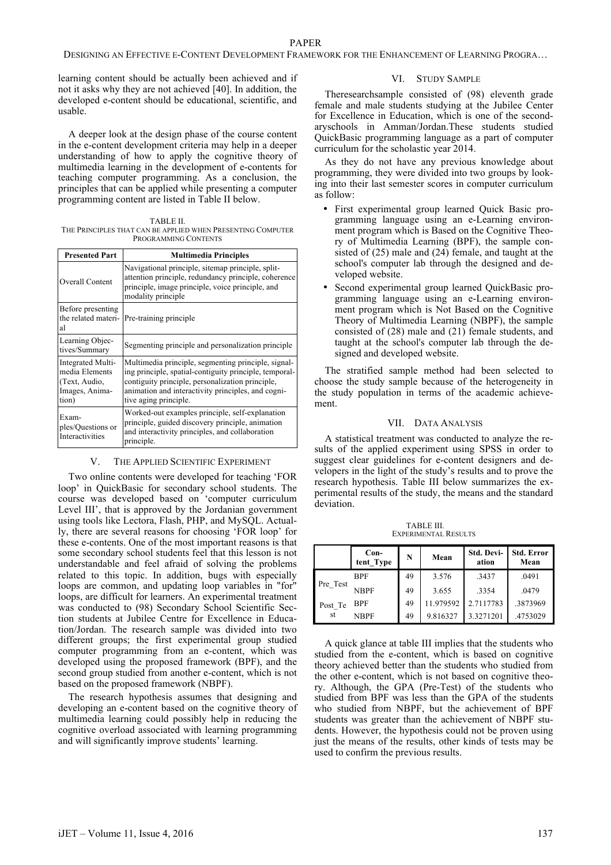# PAPER

learning content should be actually been achieved and if not it asks why they are not achieved [40]. In addition, the developed e-content should be educational, scientific, and usable.

A deeper look at the design phase of the course content in the e-content development criteria may help in a deeper understanding of how to apply the cognitive theory of multimedia learning in the development of e-contents for teaching computer programming. As a conclusion, the principles that can be applied while presenting a computer programming content are listed in Table II below.

TABLE II. THE PRINCIPLES THAT CAN BE APPLIED WHEN PRESENTING COMPUTER PROGRAMMING CONTENTS

| <b>Presented Part</b>                                                           | <b>Multimedia Principles</b>                                                                                                                                                                                                                     |
|---------------------------------------------------------------------------------|--------------------------------------------------------------------------------------------------------------------------------------------------------------------------------------------------------------------------------------------------|
| Overall Content                                                                 | Navigational principle, sitemap principle, split-<br>attention principle, redundancy principle, coherence<br>principle, image principle, voice principle, and<br>modality principle                                                              |
| Before presenting<br>the related materi-<br>al                                  | Pre-training principle                                                                                                                                                                                                                           |
| Learning Objec-<br>tives/Summary                                                | Segmenting principle and personalization principle.                                                                                                                                                                                              |
| Integrated Multi-<br>media Elements<br>(Text, Audio,<br>Images, Anima-<br>tion) | Multimedia principle, segmenting principle, signal-<br>ing principle, spatial-contiguity principle, temporal-<br>contiguity principle, personalization principle,<br>animation and interactivity principles, and cogni-<br>tive aging principle. |
| Exam-<br>ples/Questions or<br>Interactivities                                   | Worked-out examples principle, self-explanation<br>principle, guided discovery principle, animation<br>and interactivity principles, and collaboration<br>principle.                                                                             |

#### V. THE APPLIED SCIENTIFIC EXPERIMENT

Two online contents were developed for teaching 'FOR loop' in QuickBasic for secondary school students. The course was developed based on 'computer curriculum Level III', that is approved by the Jordanian government using tools like Lectora, Flash, PHP, and MySQL. Actually, there are several reasons for choosing 'FOR loop' for these e-contents. One of the most important reasons is that some secondary school students feel that this lesson is not understandable and feel afraid of solving the problems related to this topic. In addition, bugs with especially loops are common, and updating loop variables in "for" loops, are difficult for learners. An experimental treatment was conducted to (98) Secondary School Scientific Section students at Jubilee Centre for Excellence in Education/Jordan. The research sample was divided into two different groups; the first experimental group studied computer programming from an e-content, which was developed using the proposed framework (BPF), and the second group studied from another e-content, which is not based on the proposed framework (NBPF).

The research hypothesis assumes that designing and developing an e-content based on the cognitive theory of multimedia learning could possibly help in reducing the cognitive overload associated with learning programming and will significantly improve students' learning.

#### VI. STUDY SAMPLE

Theresearchsample consisted of (98) eleventh grade female and male students studying at the Jubilee Center for Excellence in Education, which is one of the secondaryschools in Amman/Jordan.These students studied QuickBasic programming language as a part of computer curriculum for the scholastic year 2014.

As they do not have any previous knowledge about programming, they were divided into two groups by looking into their last semester scores in computer curriculum as follow:

- First experimental group learned Quick Basic programming language using an e-Learning environment program which is Based on the Cognitive Theory of Multimedia Learning (BPF), the sample consisted of (25) male and (24) female, and taught at the school's computer lab through the designed and developed website.
- Second experimental group learned QuickBasic programming language using an e-Learning environment program which is Not Based on the Cognitive Theory of Multimedia Learning (NBPF), the sample consisted of (28) male and (21) female students, and taught at the school's computer lab through the designed and developed website.

The stratified sample method had been selected to choose the study sample because of the heterogeneity in the study population in terms of the academic achievement.

#### VII. DATA ANALYSIS

A statistical treatment was conducted to analyze the results of the applied experiment using SPSS in order to suggest clear guidelines for e-content designers and developers in the light of the study's results and to prove the research hypothesis. Table III below summarizes the experimental results of the study, the means and the standard deviation.

TABLE III. EXPERIMENTAL RESULTS

|          | $Con-$<br>tent Type | N  | Mean      | Std. Devi-<br>ation | <b>Std. Error</b><br>Mean |
|----------|---------------------|----|-----------|---------------------|---------------------------|
|          | <b>BPF</b>          | 49 | 3.576     | .3437               | .0491                     |
| Pre Test | <b>NBPF</b>         | 49 | 3.655     | .3354               | .0479                     |
| Post Te  | BPF                 | 49 | 11.979592 | 2.7117783           | .3873969                  |
| st       | <b>NBPF</b>         | 49 | 9.816327  | 3.3271201           | .4753029                  |

A quick glance at table III implies that the students who studied from the e-content, which is based on cognitive theory achieved better than the students who studied from the other e-content, which is not based on cognitive theory. Although, the GPA (Pre-Test) of the students who studied from BPF was less than the GPA of the students who studied from NBPF, but the achievement of BPF students was greater than the achievement of NBPF students. However, the hypothesis could not be proven using just the means of the results, other kinds of tests may be used to confirm the previous results.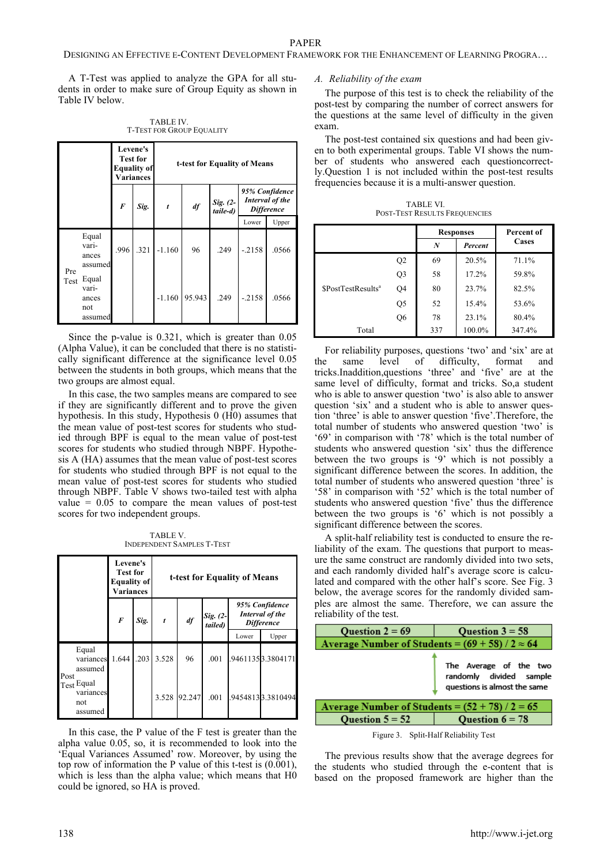# PAPER

# DESIGNING AN EFFECTIVE E-CONTENT DEVELOPMENT FRAMEWORK FOR THE ENHANCEMENT OF LEARNING PROGRA…

A T-Test was applied to analyze the GPA for all students in order to make sure of Group Equity as shown in Table IV below.

TABLE IV. T-TEST FOR GROUP EQUALITY

|                    |                                           | Levene's<br><b>Test for</b><br><b>Equality of</b><br>Variances |      | t-test for Equality of Means |                            |      |                                                        |       |  |
|--------------------|-------------------------------------------|----------------------------------------------------------------|------|------------------------------|----------------------------|------|--------------------------------------------------------|-------|--|
|                    |                                           | $\boldsymbol{F}$                                               | Sig. | $\boldsymbol{t}$             | Sig. (2-<br>df<br>taile-d) |      | 95% Confidence<br>Interval of the<br><b>Difference</b> |       |  |
|                    |                                           |                                                                |      |                              |                            |      | Lower                                                  | Upper |  |
|                    | Equal<br>vari-<br>ances<br>assumed        | .996                                                           | .321 | $-1.160$                     | 96                         | .249 | $-2158$                                                | .0566 |  |
| Pre<br><b>Test</b> | Equal<br>vari-<br>ances<br>not<br>assumed |                                                                |      | $-1.160$                     | 95.943                     | .249 | $-2158$                                                | .0566 |  |

Since the p-value is 0.321, which is greater than 0.05 (Alpha Value), it can be concluded that there is no statistically significant difference at the significance level 0.05 between the students in both groups, which means that the two groups are almost equal.

In this case, the two samples means are compared to see if they are significantly different and to prove the given hypothesis. In this study, Hypothesis 0 (H0) assumes that the mean value of post-test scores for students who studied through BPF is equal to the mean value of post-test scores for students who studied through NBPF. Hypothesis A (HA) assumes that the mean value of post-test scores for students who studied through BPF is not equal to the mean value of post-test scores for students who studied through NBPF. Table V shows two-tailed test with alpha value  $= 0.05$  to compare the mean values of post-test scores for two independent groups.

TABLE V. INDEPENDENT SAMPLES T-TEST

|                                             | Levene's<br><b>Test for</b><br><b>Equality of</b><br><b>Variances</b> |      | t-test for Equality of Means |              |                     |       |                                                        |  |
|---------------------------------------------|-----------------------------------------------------------------------|------|------------------------------|--------------|---------------------|-------|--------------------------------------------------------|--|
|                                             | $\boldsymbol{F}$                                                      | Sig. | $\boldsymbol{t}$             | df           | Sig. (2-<br>tailed) |       | 95% Confidence<br>Interval of the<br><b>Difference</b> |  |
|                                             |                                                                       |      |                              |              |                     | Lower | Upper                                                  |  |
| Equal<br>variances 1.644<br>assumed<br>Post |                                                                       | .203 | 3.528                        | 96           | .001                |       | 94611353.3804171                                       |  |
| Test Equal<br>variances<br>not<br>assumed   |                                                                       |      |                              | 3.528 92.247 | .001                |       | 94548133.3810494                                       |  |

In this case, the P value of the F test is greater than the alpha value 0.05, so, it is recommended to look into the 'Equal Variances Assumed' row. Moreover, by using the top row of information the P value of this t-test is (0.001), which is less than the alpha value; which means that H0 could be ignored, so HA is proved.

# *A. Reliability of the exam*

The purpose of this test is to check the reliability of the post-test by comparing the number of correct answers for the questions at the same level of difficulty in the given exam.

The post-test contained six questions and had been given to both experimental groups. Table VI shows the number of students who answered each questioncorrectly.Question 1 is not included within the post-test results frequencies because it is a multi-answer question.

TABLE VI. POST-TEST RESULTS FREQUENCIES

|                                |                |     | <b>Responses</b> | Percent of |  |
|--------------------------------|----------------|-----|------------------|------------|--|
|                                |                | N   | Percent          | Cases      |  |
|                                | Q2             | 69  | 20.5%            | 71.1%      |  |
| \$PostTestResults <sup>a</sup> | Q <sub>3</sub> | 58  | 17.2%            | 59.8%      |  |
|                                | Q4             | 80  | 23.7%            | 82.5%      |  |
|                                | Q <sub>5</sub> | 52  | 15.4%            | 53.6%      |  |
|                                | Q <sub>6</sub> | 78  | 23.1%            | 80.4%      |  |
| Total                          |                | 337 | 100.0%           | 347.4%     |  |

For reliability purposes, questions 'two' and 'six' are at<br>e same level of difficulty, format and the same level of difficulty, format and tricks.Inaddition,questions 'three' and 'five' are at the same level of difficulty, format and tricks. So,a student who is able to answer question 'two' is also able to answer question 'six' and a student who is able to answer question 'three' is able to answer question 'five'.Therefore, the total number of students who answered question 'two' is '69' in comparison with '78' which is the total number of students who answered question 'six' thus the difference between the two groups is '9' which is not possibly a significant difference between the scores. In addition, the total number of students who answered question 'three' is '58' in comparison with '52' which is the total number of students who answered question 'five' thus the difference between the two groups is '6' which is not possibly a significant difference between the scores.

A split-half reliability test is conducted to ensure the reliability of the exam. The questions that purport to measure the same construct are randomly divided into two sets, and each randomly divided half's average score is calculated and compared with the other half's score. See Fig. 3 below, the average scores for the randomly divided samples are almost the same. Therefore, we can assure the reliability of the test.

| Ouestion $2 = 69$                                       | Question $3 = 58$                                                                 |  |  |  |
|---------------------------------------------------------|-----------------------------------------------------------------------------------|--|--|--|
| Average Number of Students = $(69 + 58) / 2 \approx 64$ |                                                                                   |  |  |  |
|                                                         | The Average of the two<br>randomly divided sample<br>questions is almost the same |  |  |  |
| Average Number of Students = $(52 + 78) / 2 = 65$       |                                                                                   |  |  |  |
| Question $5 = 52$                                       | Question $6 = 78$                                                                 |  |  |  |
|                                                         |                                                                                   |  |  |  |

Figure 3. Split-Half Reliability Test

The previous results show that the average degrees for the students who studied through the e-content that is based on the proposed framework are higher than the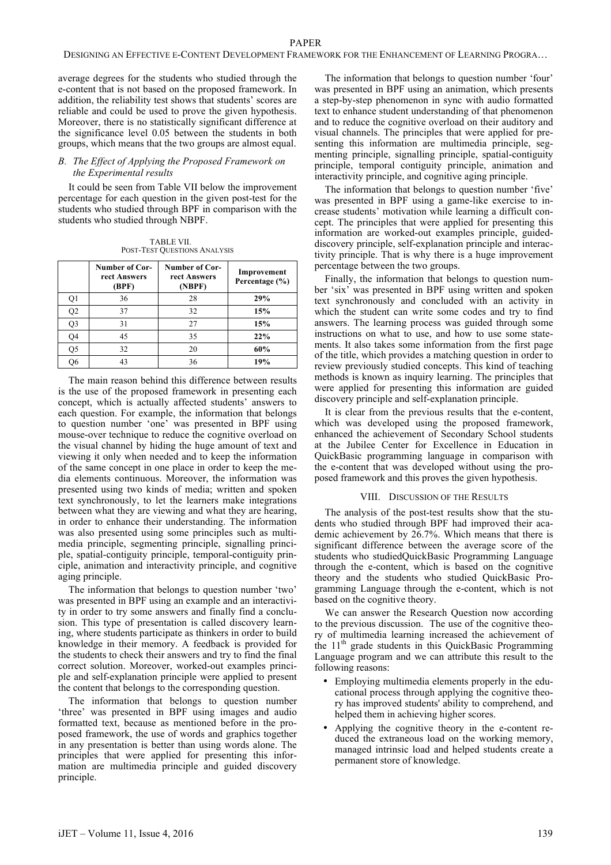average degrees for the students who studied through the e-content that is not based on the proposed framework. In addition, the reliability test shows that students' scores are reliable and could be used to prove the given hypothesis. Moreover, there is no statistically significant difference at the significance level 0.05 between the students in both groups, which means that the two groups are almost equal.

# *B. The Effect of Applying the Proposed Framework on the Experimental results*

It could be seen from Table VII below the improvement percentage for each question in the given post-test for the students who studied through BPF in comparison with the students who studied through NBPF.

TABLE VII. POST-TEST QUESTIONS ANALYSIS

|                | <b>Number of Cor-</b><br>rect Answers<br>(BPF) | <b>Number of Cor-</b><br>rect Answers<br>(NBPF) | Improvement<br>Percentage (%) |
|----------------|------------------------------------------------|-------------------------------------------------|-------------------------------|
| Q1             | 36                                             | 28                                              | 29%                           |
| Q <sub>2</sub> | 37                                             | 32                                              | 15%                           |
| Q <sub>3</sub> | 31                                             | 27                                              | 15%                           |
| Q4             | 45                                             | 35                                              | 22%                           |
| Q <sub>5</sub> | 32                                             | 20                                              | 60%                           |
| Ο6             | 43                                             | 36                                              | 19%                           |

The main reason behind this difference between results is the use of the proposed framework in presenting each concept, which is actually affected students' answers to each question. For example, the information that belongs to question number 'one' was presented in BPF using mouse-over technique to reduce the cognitive overload on the visual channel by hiding the huge amount of text and viewing it only when needed and to keep the information of the same concept in one place in order to keep the media elements continuous. Moreover, the information was presented using two kinds of media; written and spoken text synchronously, to let the learners make integrations between what they are viewing and what they are hearing, in order to enhance their understanding. The information was also presented using some principles such as multimedia principle, segmenting principle, signalling principle, spatial-contiguity principle, temporal-contiguity principle, animation and interactivity principle, and cognitive aging principle.

The information that belongs to question number 'two' was presented in BPF using an example and an interactivity in order to try some answers and finally find a conclusion. This type of presentation is called discovery learning, where students participate as thinkers in order to build knowledge in their memory. A feedback is provided for the students to check their answers and try to find the final correct solution. Moreover, worked-out examples principle and self-explanation principle were applied to present the content that belongs to the corresponding question.

The information that belongs to question number 'three' was presented in BPF using images and audio formatted text, because as mentioned before in the proposed framework, the use of words and graphics together in any presentation is better than using words alone. The principles that were applied for presenting this information are multimedia principle and guided discovery principle.

The information that belongs to question number 'four' was presented in BPF using an animation, which presents a step-by-step phenomenon in sync with audio formatted text to enhance student understanding of that phenomenon and to reduce the cognitive overload on their auditory and visual channels. The principles that were applied for presenting this information are multimedia principle, segmenting principle, signalling principle, spatial-contiguity principle, temporal contiguity principle, animation and interactivity principle, and cognitive aging principle.

The information that belongs to question number 'five' was presented in BPF using a game-like exercise to increase students' motivation while learning a difficult concept. The principles that were applied for presenting this information are worked-out examples principle, guideddiscovery principle, self-explanation principle and interactivity principle. That is why there is a huge improvement percentage between the two groups.

Finally, the information that belongs to question number 'six' was presented in BPF using written and spoken text synchronously and concluded with an activity in which the student can write some codes and try to find answers. The learning process was guided through some instructions on what to use, and how to use some statements. It also takes some information from the first page of the title, which provides a matching question in order to review previously studied concepts. This kind of teaching methods is known as inquiry learning. The principles that were applied for presenting this information are guided discovery principle and self-explanation principle.

It is clear from the previous results that the e-content, which was developed using the proposed framework, enhanced the achievement of Secondary School students at the Jubilee Center for Excellence in Education in QuickBasic programming language in comparison with the e-content that was developed without using the proposed framework and this proves the given hypothesis.

#### VIII. DISCUSSION OF THE RESULTS

The analysis of the post-test results show that the students who studied through BPF had improved their academic achievement by 26.7%. Which means that there is significant difference between the average score of the students who studiedQuickBasic Programming Language through the e-content, which is based on the cognitive theory and the students who studied QuickBasic Programming Language through the e-content, which is not based on the cognitive theory.

We can answer the Research Question now according to the previous discussion. The use of the cognitive theory of multimedia learning increased the achievement of the 11<sup>th</sup> grade students in this QuickBasic Programming Language program and we can attribute this result to the following reasons:

- Employing multimedia elements properly in the educational process through applying the cognitive theory has improved students' ability to comprehend, and helped them in achieving higher scores.
- Applying the cognitive theory in the e-content reduced the extraneous load on the working memory, managed intrinsic load and helped students create a permanent store of knowledge.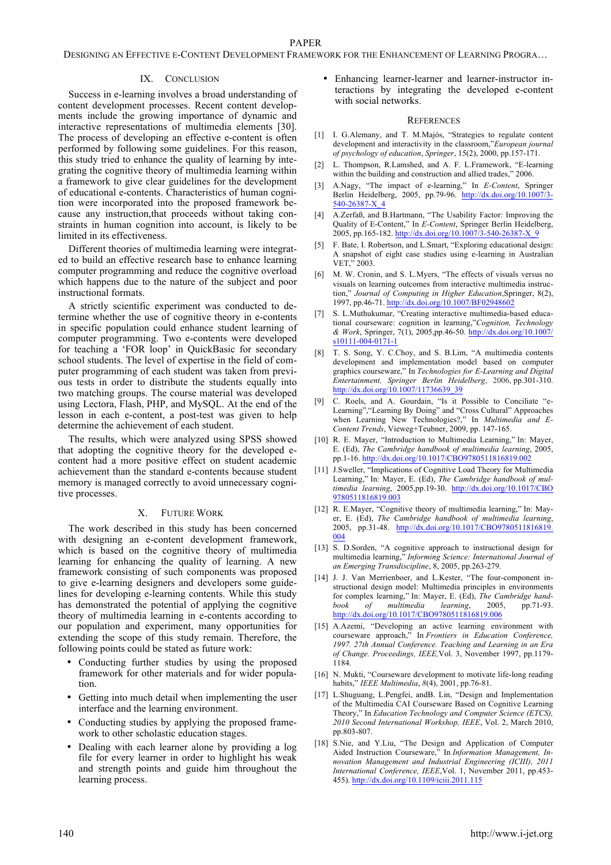#### PAPER

DESIGNING AN EFFECTIVE E-CONTENT DEVELOPMENT FRAMEWORK FOR THE ENHANCEMENT OF LEARNING PROGRA…

# IX. CONCLUSION

Success in e-learning involves a broad understanding of content development processes. Recent content developments include the growing importance of dynamic and interactive representations of multimedia elements [30]. The process of developing an effective e-content is often performed by following some guidelines. For this reason, this study tried to enhance the quality of learning by integrating the cognitive theory of multimedia learning within a framework to give clear guidelines for the development of educational e-contents. Characteristics of human cognition were incorporated into the proposed framework because any instruction,that proceeds without taking constraints in human cognition into account, is likely to be limited in its effectiveness.

Different theories of multimedia learning were integrated to build an effective research base to enhance learning computer programming and reduce the cognitive overload which happens due to the nature of the subject and poor instructional formats.

A strictly scientific experiment was conducted to determine whether the use of cognitive theory in e-contents in specific population could enhance student learning of computer programming. Two e-contents were developed for teaching a 'FOR loop' in QuickBasic for secondary school students. The level of expertise in the field of computer programming of each student was taken from previous tests in order to distribute the students equally into two matching groups. The course material was developed using Lectora, Flash, PHP, and MySQL. At the end of the lesson in each e-content, a post-test was given to help determine the achievement of each student.

The results, which were analyzed using SPSS showed that adopting the cognitive theory for the developed econtent had a more positive effect on student academic achievement than the standard e-contents because student memory is managed correctly to avoid unnecessary cognitive processes.

#### X. FUTURE WORK

The work described in this study has been concerned with designing an e-content development framework, which is based on the cognitive theory of multimedia learning for enhancing the quality of learning. A new framework consisting of such components was proposed to give e-learning designers and developers some guidelines for developing e-learning contents. While this study has demonstrated the potential of applying the cognitive theory of multimedia learning in e-contents according to our population and experiment, many opportunities for extending the scope of this study remain. Therefore, the following points could be stated as future work:

- Conducting further studies by using the proposed framework for other materials and for wider population.
- Getting into much detail when implementing the user interface and the learning environment.
- Conducting studies by applying the proposed framework to other scholastic education stages.
- Dealing with each learner alone by providing a log file for every learner in order to highlight his weak and strength points and guide him throughout the learning process.

• Enhancing learner-learner and learner-instructor interactions by integrating the developed e-content with social networks.

#### **REFERENCES**

- [1] I. G.Alemany, and T. M.Majós, "Strategies to regulate content development and interactivity in the classroom,"*European journal of psychology of education*, *Springer*, 15(2), 2000, pp.157-171.
- [2] L. Thompson, R.Lamshed, and A. F. L.Framework, "E-learning within the building and construction and allied trades," 2006.
- [3] A.Nagy, "The impact of e-learning," In *E-Content*, Springer Berlin Heidelberg, 2005, pp.79-96. http://dx.doi.org/10.1007/3- 540-26387-X\_4
- [4] A.Zerfaß, and B.Hartmann, "The Usability Factor: Improving the Quality of E-Content," In *E-Content*, Springer Berlin Heidelberg, 2005, pp.165-182. http://dx.doi.org/10.1007/3-540-26387-X\_9
- [5] F. Bate, I. Robertson, and L.Smart, "Exploring educational design: A snapshot of eight case studies using e-learning in Australian VET " 2003.
- [6] M. W. Cronin, and S. L.Myers, "The effects of visuals versus no visuals on learning outcomes from interactive multimedia instruction," *Journal of Computing in Higher Education*,Springer, 8(2), 1997, pp.46-71. http://dx.doi.org/10.1007/BF02948602
- [7] S. L.Muthukumar, "Creating interactive multimedia-based educational courseware: cognition in learning,"*Cognition, Technology & Work*, Springer, 7(1), 2005,pp.46-50. http://dx.doi.org/10.1007/ s10111-004-0171-1
- [8] T. S. Song, Y. C.Choy, and S. B.Lim, "A multimedia contents development and implementation model based on computer graphics courseware," In *Technologies for E-Learning and Digital Entertainment, Springer Berlin Heidelberg*, 2006, pp.301-310. http://dx.doi.org/10.1007/11736639\_39
- [9] C. Roels, and A. Gourdain, "Is it Possible to Conciliate "e-Learning","Learning By Doing" and "Cross Cultural" Approaches when Learning New Technologies?," In *Multimedia and E-Content Trends*, Vieweg+Teubner, 2009, pp. 147-165.
- [10] R. E. Mayer, "Introduction to Multimedia Learning," In: Mayer, E. (Ed), *The Cambridge handbook of multimedia learning*, 2005, pp.1-16. http://dx.doi.org/10.1017/CBO9780511816819.002
- [11] J.Sweller, "Implications of Cognitive Load Theory for Multimedia Learning," In: Mayer, E. (Ed), *The Cambridge handbook of multimedia learning*, 2005,pp.19-30. http://dx.doi.org/10.1017/CBO 9780511816819.003
- [12] R. E.Mayer, "Cognitive theory of multimedia learning," In: Mayer, E. (Ed), *The Cambridge handbook of multimedia learning*, 2005, pp.31-48. http://dx.doi.org/10.1017/CBO9780511816819. 004
- [13] S. D.Sorden, "A cognitive approach to instructional design for multimedia learning," *Informing Science: International Journal of an Emerging Transdiscipline*, 8, 2005, pp.263-279.
- [14] J. J. Van Merrienboer, and L.Kester, "The four-component instructional design model: Multimedia principles in environments for complex learning," In: Mayer, E. (Ed), *The Cambridge handbook of multimedia learning*, 2005, pp.71-93. http://dx.doi.org/10.1017/CBO9780511816819.006
- [15] A.Azemi, "Developing an active learning environment with courseware approach," In *Frontiers in Education Conference, 1997. 27th Annual Conference. Teaching and Learning in an Era of Change. Proceedings, IEEE,*Vol. 3, November 1997, pp.1179- 1184.
- [16] N. Mukti, "Courseware development to motivate life-long reading habits," *IEEE Multimedia*, *8*(4), 2001, pp.76-81.
- [17] L.Shuguang, L.Pengfei, andB. Lin, "Design and Implementation of the Multimedia CAI Courseware Based on Cognitive Learning Theory," In *Education Technology and Computer Science (ETCS), 2010 Second International Workshop, IEEE*, Vol. 2, March 2010, pp.803-807.
- [18] S.Nie, and Y.Liu, "The Design and Application of Computer Aided Instruction Courseware," In *Information Management, Innovation Management and Industrial Engineering (ICIII), 2011 International Conference, IEEE*,Vol. 1, November 2011, pp.453- 455). http://dx.doi.org/10.1109/iciii.2011.115